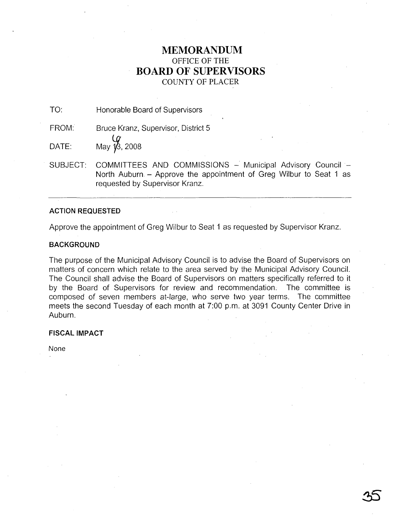# **MEMORANDUM** OFFICE OF THE **BOARD OF SUPERVISORS** COUNTY OF PLACER

TO: Honorable Board of Supervisors

FROM: Bruce Kranz, Supervisor, District 5

 $\begin{array}{cc}\n\mathbf{0} & \mathbf{0} \\
\mathbf{0} & \mathbf{0}\n\end{array}$  DATE:

SUBJECT: COMMITTEES AND COMMISSIONS - Municipal Advisory Council -North Auburn - Approve the appointment of Greg Wilbur to Seat 1 as requested by Supervisor Kranz.

# **ACTION REQUESTED**

Approve the appointment of Greg Wilbur to Seat 1 as requested by Supervisor Kranz.

# **BACKGROUND**

The purpose of the Municipal Advisory Council is to advise the Board of Supervisors on matters of concern which relate to the area served by the Municipal Advisory Council. The Council shall advise the Board of Supervisors on matters specifically referred to it by the Board of Supervisors for review and recommendation. The committee is composed of seven members at-large, who serve two year terms. The committee meets the second Tuesday of each month at 7:00 p.m. at 3091 County Center Drive in Auburn.

# **FISCAL IMPACT**

None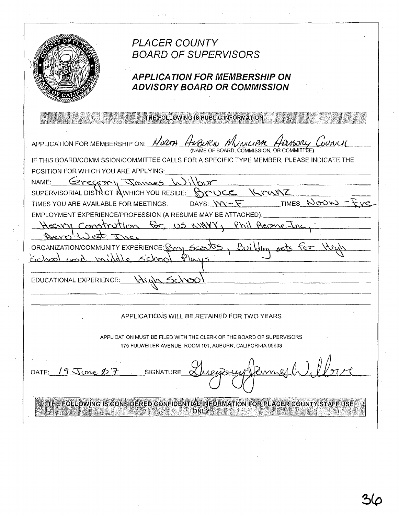**PLACER COUNTY BOARD OF SUPERVISORS APPLICATION FOR MEMBERSHIP ON ADVISORY BOARD OR COMMISSION** THE FOLLOWING IS PUBLIC INFORMATION APPLICATION FOR MEMBERSHIP ON: HOLTH (NAME OF BOARD, COMMISSION, OR COMMITTÉ IF THIS BOARD/COMMISSION/COMMITTEE CALLS FOR A SPECIFIC TYPE MEMBER, PLEASE INDICATE THE POSITION FOR WHICH YOU ARE APPLYING: NAME: Samos Kranz SUPERVISORIAL DISTRICT IN WHICH YOU RESIDE:  $\mathbb{R}$ **NOCE** TIMES NOON DAYS:  $W-F$ TIMES YOU ARE AVAILABLE FOR MEETINGS: EMPLOYMENT EXPERIENCE/PROFESSION (A RESUME MAY BE ATTACHED): lon for US NYAYY, Phil Reome-Hearry Const ORGANIZATION/COMMUNITY EXPERIENCE: R <u>Buildin</u> Sce School und. EDUCATIONAL EXPERIENCE: APPLICATIONS WILL BE RETAINED FOR TWO YEARS APPLICATION MUST BE FILED WITH THE CLERK OF THE BOARD OF SUPERVISORS 175 FULWEILER AVENUE, ROOM 101, AUBURN, CALIFORNIA 95603 DATE:  $19$  June  $27$ **SIGNATURE** THE FOLLOWING IS CONSIDERED CONFIDENTIAL INFORMATION FOR PLACER COUNTY STAFF USE **CONLINE ONLY THE REAL PROPERTY ONLY AND REAL PROPERTY.**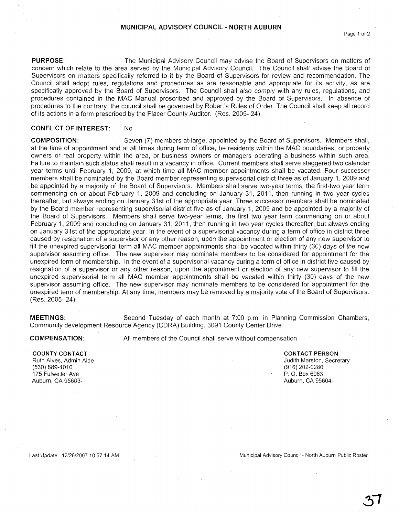**PURPOSE:** The Municipal Advisory Council may advise the Board of Supervisors on matters of concern which relate to the area served by the Municipal Advisory Council. The Council shall advise the Board of Supervisors on matters specifically referred to it by the Board of Supervisors for review and recommendation. The Council shall adopt rules, regulations and procedures as are reasonable and appropriate for its activity, as are specifically approved by the Board of Supervisors. The Council shall also comply with any rules, regulations, and procedures contained in the MAC Manual proscribed and approved by the Board of Supervisors. In absence of procedures to the contrary, the council shall be governed by Robert's Rules of Order. The Council shall keep all record of its actions in a form prescribed by the Placer County Auditor. (Res. 2005- 24)

### **CONFLICT OF INTEREST:** No

**COMPOSITION:** Seven (7) members at-large, appointed by the Board of Supervisors. Members shall, at the time of appointment and at all times during term of office, be residents within the MAC boundaries, or property owners or real property within the area, or business owners or managers operating a business within such area. Failure to maintain such status shall result in a vacancy in office. Current members shall serve staggered two calendar year terms until February 1,2009, at which time all MAC member appointments shall be vacated. Four successor members shall be nominated by the Board member representing supervisorial district three as of January 1, 2009 and be appointed by a majority of the Board of Supervisors. Members shall serve two-year terms, the first-two year term commencing on or about February 1, 2009 and concluding on January 31, 2011, then running in two year cycles thereafter, but always ending on January 31st of the appropriate year. Three successor members shall be nominated by the Board member representing supervisorial district five as of January 1, 2009 and be appointed by a majority of the Board of Supervisors. Members shall serve two-year terms, the first two year 'term commencing on or about February 1, 2009 and concluding on January 31, 2011, then running in two year cycles thereafter, but always ending on January 31 st of the appropriate year. In the event of a supervisorial vacancy during a term of office in district three caused by resignation of a supervisor or any other reason, upon the appointment or election of any new supervisor to fill the unexpired supervisorial term all MAC member appointments shall be vacated within thirty (30) days of the new supervisor assuming office. The new supervisor may nominate members to be considered for appointment for the unexpired term of membership. In the event of a supervisorial vacancy during a term of office in district five caused by resignation of a supervisor or any other reason, upon the appointment or election of any new supervisor to fill the unexpired supervisorial term all MAC member appointments shall be vacated within thirty (30) days of the new supervisor assuming office. The new supervisor may nominate members to be considered for appointment for the unexpired term of membership. At any time, members may be removed by a majority vote of the Board of Supervisors. (Res. 2005- 24)

**MEETINGS:** Second Tuesday of each month at 7:00 p.m. in Planning Commission Chambers, Community development Resource Agency (CORA) Building, 3091 County Center Drive

**COMPENSATION:**

All members of the Council shall serve without compensation.

#### **COUNTY CONTACT** Ruth Alves, Admin Aide

(530) 889-4010 175 Fulweiler Ave Auburn, CA 95603**CONTACT PERSON** Judith Marston, Secretary (916) 202-0280 P. O. Box 6983 Auburn, CA 95604-

Last Update: 12/26/200710:57:14 AM

Municipal Advisory Council - North Auburn Public Roster